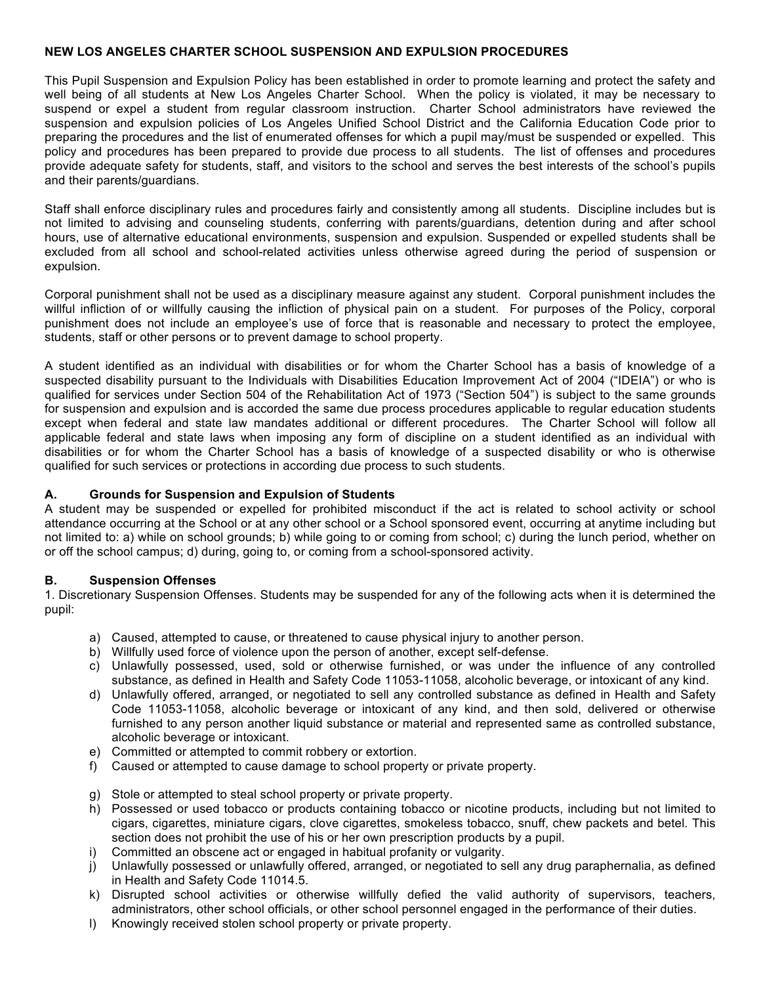### **NEW LOS ANGELES CHARTER SCHOOL SUSPENSION AND EXPULSION PROCEDURES**

This Pupil Suspension and Expulsion Policy has been established in order to promote learning and protect the safety and well being of all students at New Los Angeles Charter School. When the policy is violated, it may be necessary to suspend or expel a student from regular classroom instruction. Charter School administrators have reviewed the suspension and expulsion policies of Los Angeles Unified School District and the California Education Code prior to preparing the procedures and the list of enumerated offenses for which a pupil may/must be suspended or expelled. This policy and procedures has been prepared to provide due process to all students. The list of offenses and procedures provide adequate safety for students, staff, and visitors to the school and serves the best interests of the school's pupils and their parents/guardians.

Staff shall enforce disciplinary rules and procedures fairly and consistently among all students. Discipline includes but is not limited to advising and counseling students, conferring with parents/guardians, detention during and after school hours, use of alternative educational environments, suspension and expulsion. Suspended or expelled students shall be excluded from all school and school-related activities unless otherwise agreed during the period of suspension or expulsion.

Corporal punishment shall not be used as a disciplinary measure against any student. Corporal punishment includes the willful infliction of or willfully causing the infliction of physical pain on a student. For purposes of the Policy, corporal punishment does not include an employee's use of force that is reasonable and necessary to protect the employee, students, staff or other persons or to prevent damage to school property.

A student identified as an individual with disabilities or for whom the Charter School has a basis of knowledge of a suspected disability pursuant to the Individuals with Disabilities Education Improvement Act of 2004 ("IDEIA") or who is qualified for services under Section 504 of the Rehabilitation Act of 1973 ("Section 504") is subject to the same grounds for suspension and expulsion and is accorded the same due process procedures applicable to regular education students except when federal and state law mandates additional or different procedures. The Charter School will follow all applicable federal and state laws when imposing any form of discipline on a student identified as an individual with disabilities or for whom the Charter School has a basis of knowledge of a suspected disability or who is otherwise qualified for such services or protections in according due process to such students.

### **A. Grounds for Suspension and Expulsion of Students**

A student may be suspended or expelled for prohibited misconduct if the act is related to school activity or school attendance occurring at the School or at any other school or a School sponsored event, occurring at anytime including but not limited to: a) while on school grounds; b) while going to or coming from school; c) during the lunch period, whether on or off the school campus; d) during, going to, or coming from a school-sponsored activity.

## **B. Suspension Offenses**

1. Discretionary Suspension Offenses. Students may be suspended for any of the following acts when it is determined the pupil:

- a) Caused, attempted to cause, or threatened to cause physical injury to another person.
- b) Willfully used force of violence upon the person of another, except self-defense.
- c) Unlawfully possessed, used, sold or otherwise furnished, or was under the influence of any controlled substance, as defined in Health and Safety Code 11053-11058, alcoholic beverage, or intoxicant of any kind.
- d) Unlawfully offered, arranged, or negotiated to sell any controlled substance as defined in Health and Safety Code 11053-11058, alcoholic beverage or intoxicant of any kind, and then sold, delivered or otherwise furnished to any person another liquid substance or material and represented same as controlled substance, alcoholic beverage or intoxicant.
- e) Committed or attempted to commit robbery or extortion.
- f) Caused or attempted to cause damage to school property or private property.
- g) Stole or attempted to steal school property or private property.
- h) Possessed or used tobacco or products containing tobacco or nicotine products, including but not limited to cigars, cigarettes, miniature cigars, clove cigarettes, smokeless tobacco, snuff, chew packets and betel. This section does not prohibit the use of his or her own prescription products by a pupil.
- i) Committed an obscene act or engaged in habitual profanity or vulgarity.
- j) Unlawfully possessed or unlawfully offered, arranged, or negotiated to sell any drug paraphernalia, as defined in Health and Safety Code 11014.5.
- k) Disrupted school activities or otherwise willfully defied the valid authority of supervisors, teachers, administrators, other school officials, or other school personnel engaged in the performance of their duties.
- l) Knowingly received stolen school property or private property.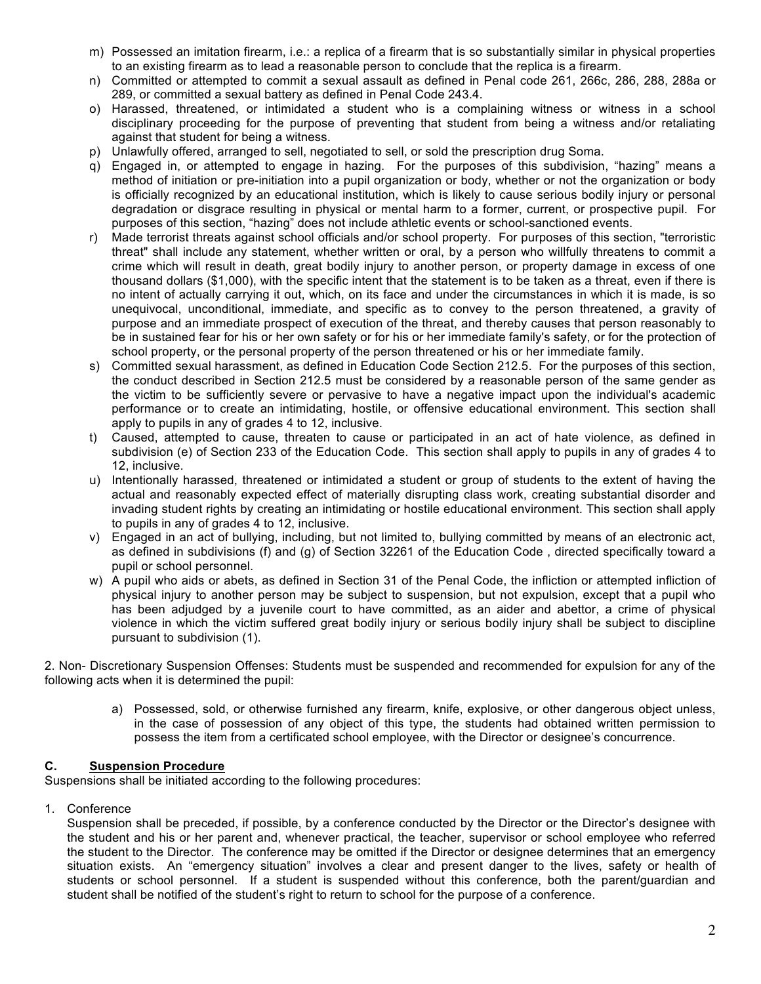- m) Possessed an imitation firearm, i.e.: a replica of a firearm that is so substantially similar in physical properties to an existing firearm as to lead a reasonable person to conclude that the replica is a firearm.
- n) Committed or attempted to commit a sexual assault as defined in Penal code 261, 266c, 286, 288, 288a or 289, or committed a sexual battery as defined in Penal Code 243.4.
- o) Harassed, threatened, or intimidated a student who is a complaining witness or witness in a school disciplinary proceeding for the purpose of preventing that student from being a witness and/or retaliating against that student for being a witness.
- p) Unlawfully offered, arranged to sell, negotiated to sell, or sold the prescription drug Soma.
- q) Engaged in, or attempted to engage in hazing. For the purposes of this subdivision, "hazing" means a method of initiation or pre-initiation into a pupil organization or body, whether or not the organization or body is officially recognized by an educational institution, which is likely to cause serious bodily injury or personal degradation or disgrace resulting in physical or mental harm to a former, current, or prospective pupil. For purposes of this section, "hazing" does not include athletic events or school-sanctioned events.
- r) Made terrorist threats against school officials and/or school property. For purposes of this section, "terroristic threat" shall include any statement, whether written or oral, by a person who willfully threatens to commit a crime which will result in death, great bodily injury to another person, or property damage in excess of one thousand dollars (\$1,000), with the specific intent that the statement is to be taken as a threat, even if there is no intent of actually carrying it out, which, on its face and under the circumstances in which it is made, is so unequivocal, unconditional, immediate, and specific as to convey to the person threatened, a gravity of purpose and an immediate prospect of execution of the threat, and thereby causes that person reasonably to be in sustained fear for his or her own safety or for his or her immediate family's safety, or for the protection of school property, or the personal property of the person threatened or his or her immediate family.
- s) Committed sexual harassment, as defined in Education Code Section 212.5. For the purposes of this section, the conduct described in Section 212.5 must be considered by a reasonable person of the same gender as the victim to be sufficiently severe or pervasive to have a negative impact upon the individual's academic performance or to create an intimidating, hostile, or offensive educational environment. This section shall apply to pupils in any of grades 4 to 12, inclusive.
- t) Caused, attempted to cause, threaten to cause or participated in an act of hate violence, as defined in subdivision (e) of Section 233 of the Education Code. This section shall apply to pupils in any of grades 4 to 12, inclusive.
- u) Intentionally harassed, threatened or intimidated a student or group of students to the extent of having the actual and reasonably expected effect of materially disrupting class work, creating substantial disorder and invading student rights by creating an intimidating or hostile educational environment. This section shall apply to pupils in any of grades 4 to 12, inclusive.
- v) Engaged in an act of bullying, including, but not limited to, bullying committed by means of an electronic act, as defined in subdivisions (f) and (g) of Section 32261 of the Education Code , directed specifically toward a pupil or school personnel.
- w) A pupil who aids or abets, as defined in Section 31 of the Penal Code, the infliction or attempted infliction of physical injury to another person may be subject to suspension, but not expulsion, except that a pupil who has been adjudged by a juvenile court to have committed, as an aider and abettor, a crime of physical violence in which the victim suffered great bodily injury or serious bodily injury shall be subject to discipline pursuant to subdivision (1).

2. Non- Discretionary Suspension Offenses: Students must be suspended and recommended for expulsion for any of the following acts when it is determined the pupil:

a) Possessed, sold, or otherwise furnished any firearm, knife, explosive, or other dangerous object unless, in the case of possession of any object of this type, the students had obtained written permission to possess the item from a certificated school employee, with the Director or designee's concurrence.

## **C. Suspension Procedure**

Suspensions shall be initiated according to the following procedures:

1. Conference

Suspension shall be preceded, if possible, by a conference conducted by the Director or the Director's designee with the student and his or her parent and, whenever practical, the teacher, supervisor or school employee who referred the student to the Director. The conference may be omitted if the Director or designee determines that an emergency situation exists. An "emergency situation" involves a clear and present danger to the lives, safety or health of students or school personnel. If a student is suspended without this conference, both the parent/guardian and student shall be notified of the student's right to return to school for the purpose of a conference.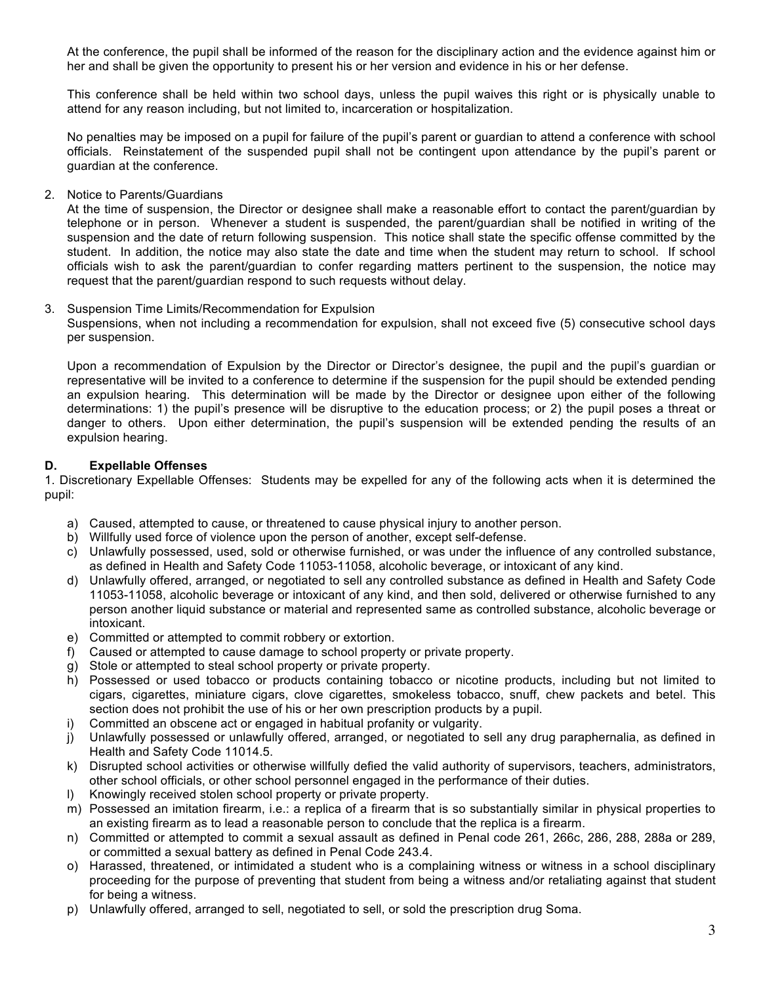At the conference, the pupil shall be informed of the reason for the disciplinary action and the evidence against him or her and shall be given the opportunity to present his or her version and evidence in his or her defense.

This conference shall be held within two school days, unless the pupil waives this right or is physically unable to attend for any reason including, but not limited to, incarceration or hospitalization.

No penalties may be imposed on a pupil for failure of the pupil's parent or guardian to attend a conference with school officials. Reinstatement of the suspended pupil shall not be contingent upon attendance by the pupil's parent or guardian at the conference.

2. Notice to Parents/Guardians

At the time of suspension, the Director or designee shall make a reasonable effort to contact the parent/guardian by telephone or in person. Whenever a student is suspended, the parent/guardian shall be notified in writing of the suspension and the date of return following suspension. This notice shall state the specific offense committed by the student. In addition, the notice may also state the date and time when the student may return to school. If school officials wish to ask the parent/guardian to confer regarding matters pertinent to the suspension, the notice may request that the parent/guardian respond to such requests without delay.

### 3. Suspension Time Limits/Recommendation for Expulsion

Suspensions, when not including a recommendation for expulsion, shall not exceed five (5) consecutive school days per suspension.

Upon a recommendation of Expulsion by the Director or Director's designee, the pupil and the pupil's guardian or representative will be invited to a conference to determine if the suspension for the pupil should be extended pending an expulsion hearing. This determination will be made by the Director or designee upon either of the following determinations: 1) the pupil's presence will be disruptive to the education process; or 2) the pupil poses a threat or danger to others. Upon either determination, the pupil's suspension will be extended pending the results of an expulsion hearing.

## **D. Expellable Offenses**

1. Discretionary Expellable Offenses: Students may be expelled for any of the following acts when it is determined the pupil:

- a) Caused, attempted to cause, or threatened to cause physical injury to another person.
- b) Willfully used force of violence upon the person of another, except self-defense.
- c) Unlawfully possessed, used, sold or otherwise furnished, or was under the influence of any controlled substance, as defined in Health and Safety Code 11053-11058, alcoholic beverage, or intoxicant of any kind.
- d) Unlawfully offered, arranged, or negotiated to sell any controlled substance as defined in Health and Safety Code 11053-11058, alcoholic beverage or intoxicant of any kind, and then sold, delivered or otherwise furnished to any person another liquid substance or material and represented same as controlled substance, alcoholic beverage or intoxicant.
- e) Committed or attempted to commit robbery or extortion.
- f) Caused or attempted to cause damage to school property or private property.
- g) Stole or attempted to steal school property or private property.
- h) Possessed or used tobacco or products containing tobacco or nicotine products, including but not limited to cigars, cigarettes, miniature cigars, clove cigarettes, smokeless tobacco, snuff, chew packets and betel. This section does not prohibit the use of his or her own prescription products by a pupil.
- i) Committed an obscene act or engaged in habitual profanity or vulgarity.
- j) Unlawfully possessed or unlawfully offered, arranged, or negotiated to sell any drug paraphernalia, as defined in Health and Safety Code 11014.5.
- k) Disrupted school activities or otherwise willfully defied the valid authority of supervisors, teachers, administrators, other school officials, or other school personnel engaged in the performance of their duties.
- l) Knowingly received stolen school property or private property.
- m) Possessed an imitation firearm, i.e.: a replica of a firearm that is so substantially similar in physical properties to an existing firearm as to lead a reasonable person to conclude that the replica is a firearm.
- n) Committed or attempted to commit a sexual assault as defined in Penal code 261, 266c, 286, 288, 288a or 289, or committed a sexual battery as defined in Penal Code 243.4.
- o) Harassed, threatened, or intimidated a student who is a complaining witness or witness in a school disciplinary proceeding for the purpose of preventing that student from being a witness and/or retaliating against that student for being a witness.
- p) Unlawfully offered, arranged to sell, negotiated to sell, or sold the prescription drug Soma.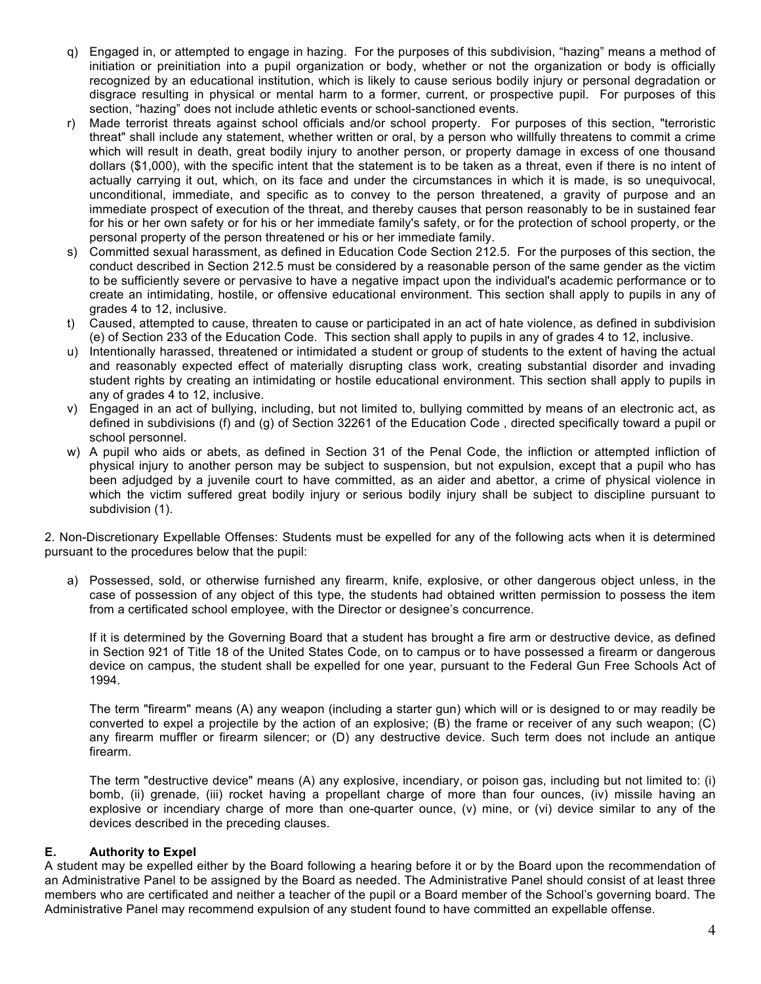- q) Engaged in, or attempted to engage in hazing. For the purposes of this subdivision, "hazing" means a method of initiation or preinitiation into a pupil organization or body, whether or not the organization or body is officially recognized by an educational institution, which is likely to cause serious bodily injury or personal degradation or disgrace resulting in physical or mental harm to a former, current, or prospective pupil. For purposes of this section, "hazing" does not include athletic events or school-sanctioned events.
- r) Made terrorist threats against school officials and/or school property. For purposes of this section, "terroristic threat" shall include any statement, whether written or oral, by a person who willfully threatens to commit a crime which will result in death, great bodily injury to another person, or property damage in excess of one thousand dollars (\$1,000), with the specific intent that the statement is to be taken as a threat, even if there is no intent of actually carrying it out, which, on its face and under the circumstances in which it is made, is so unequivocal, unconditional, immediate, and specific as to convey to the person threatened, a gravity of purpose and an immediate prospect of execution of the threat, and thereby causes that person reasonably to be in sustained fear for his or her own safety or for his or her immediate family's safety, or for the protection of school property, or the personal property of the person threatened or his or her immediate family.
- s) Committed sexual harassment, as defined in Education Code Section 212.5. For the purposes of this section, the conduct described in Section 212.5 must be considered by a reasonable person of the same gender as the victim to be sufficiently severe or pervasive to have a negative impact upon the individual's academic performance or to create an intimidating, hostile, or offensive educational environment. This section shall apply to pupils in any of grades 4 to 12, inclusive.
- t) Caused, attempted to cause, threaten to cause or participated in an act of hate violence, as defined in subdivision (e) of Section 233 of the Education Code. This section shall apply to pupils in any of grades 4 to 12, inclusive.
- u) Intentionally harassed, threatened or intimidated a student or group of students to the extent of having the actual and reasonably expected effect of materially disrupting class work, creating substantial disorder and invading student rights by creating an intimidating or hostile educational environment. This section shall apply to pupils in any of grades 4 to 12, inclusive.
- v) Engaged in an act of bullying, including, but not limited to, bullying committed by means of an electronic act, as defined in subdivisions (f) and (g) of Section 32261 of the Education Code , directed specifically toward a pupil or school personnel.
- w) A pupil who aids or abets, as defined in Section 31 of the Penal Code, the infliction or attempted infliction of physical injury to another person may be subject to suspension, but not expulsion, except that a pupil who has been adjudged by a juvenile court to have committed, as an aider and abettor, a crime of physical violence in which the victim suffered great bodily injury or serious bodily injury shall be subject to discipline pursuant to subdivision (1).

2. Non-Discretionary Expellable Offenses: Students must be expelled for any of the following acts when it is determined pursuant to the procedures below that the pupil:

a) Possessed, sold, or otherwise furnished any firearm, knife, explosive, or other dangerous object unless, in the case of possession of any object of this type, the students had obtained written permission to possess the item from a certificated school employee, with the Director or designee's concurrence.

If it is determined by the Governing Board that a student has brought a fire arm or destructive device, as defined in Section 921 of Title 18 of the United States Code, on to campus or to have possessed a firearm or dangerous device on campus, the student shall be expelled for one year, pursuant to the Federal Gun Free Schools Act of 1994.

The term "firearm" means (A) any weapon (including a starter gun) which will or is designed to or may readily be converted to expel a projectile by the action of an explosive; (B) the frame or receiver of any such weapon; (C) any firearm muffler or firearm silencer; or (D) any destructive device. Such term does not include an antique firearm.

The term "destructive device" means (A) any explosive, incendiary, or poison gas, including but not limited to: (i) bomb, (ii) grenade, (iii) rocket having a propellant charge of more than four ounces, (iv) missile having an explosive or incendiary charge of more than one-quarter ounce, (v) mine, or (vi) device similar to any of the devices described in the preceding clauses.

## **E. Authority to Expel**

A student may be expelled either by the Board following a hearing before it or by the Board upon the recommendation of an Administrative Panel to be assigned by the Board as needed. The Administrative Panel should consist of at least three members who are certificated and neither a teacher of the pupil or a Board member of the School's governing board. The Administrative Panel may recommend expulsion of any student found to have committed an expellable offense.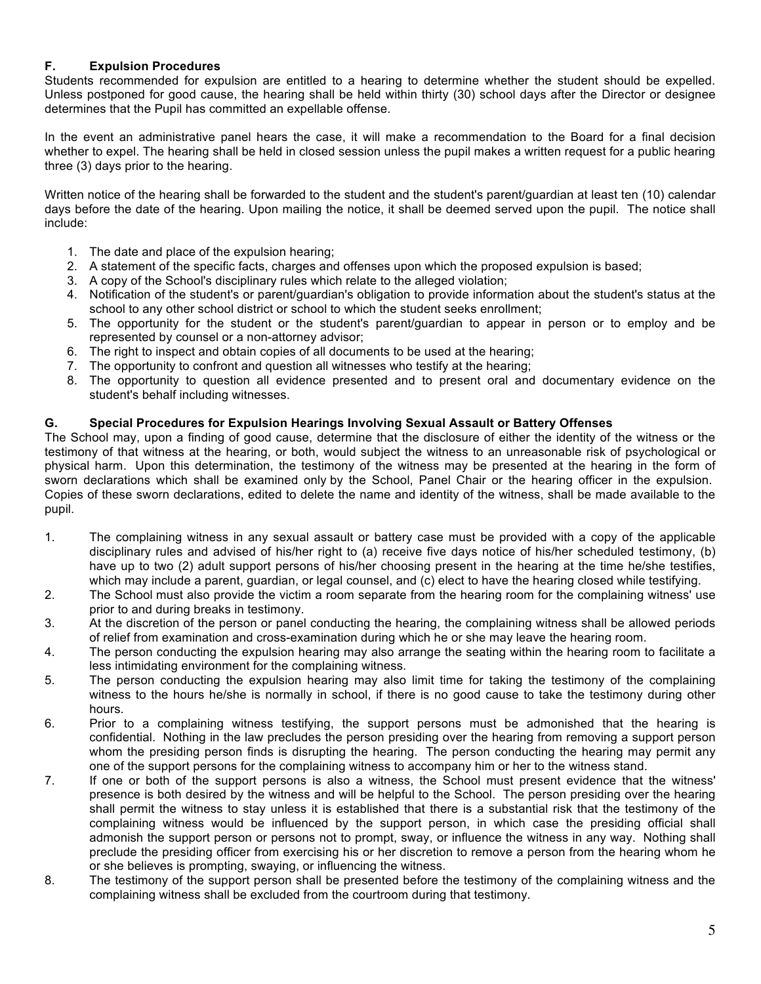## **F. Expulsion Procedures**

Students recommended for expulsion are entitled to a hearing to determine whether the student should be expelled. Unless postponed for good cause, the hearing shall be held within thirty (30) school days after the Director or designee determines that the Pupil has committed an expellable offense.

In the event an administrative panel hears the case, it will make a recommendation to the Board for a final decision whether to expel. The hearing shall be held in closed session unless the pupil makes a written request for a public hearing three (3) days prior to the hearing.

Written notice of the hearing shall be forwarded to the student and the student's parent/guardian at least ten (10) calendar days before the date of the hearing. Upon mailing the notice, it shall be deemed served upon the pupil. The notice shall include:

- 1. The date and place of the expulsion hearing;
- 2. A statement of the specific facts, charges and offenses upon which the proposed expulsion is based;
- 3. A copy of the School's disciplinary rules which relate to the alleged violation;
- 4. Notification of the student's or parent/guardian's obligation to provide information about the student's status at the school to any other school district or school to which the student seeks enrollment;
- 5. The opportunity for the student or the student's parent/guardian to appear in person or to employ and be represented by counsel or a non-attorney advisor;
- 6. The right to inspect and obtain copies of all documents to be used at the hearing;
- 7. The opportunity to confront and question all witnesses who testify at the hearing;
- 8. The opportunity to question all evidence presented and to present oral and documentary evidence on the student's behalf including witnesses.

## **G. Special Procedures for Expulsion Hearings Involving Sexual Assault or Battery Offenses**

The School may, upon a finding of good cause, determine that the disclosure of either the identity of the witness or the testimony of that witness at the hearing, or both, would subject the witness to an unreasonable risk of psychological or physical harm. Upon this determination, the testimony of the witness may be presented at the hearing in the form of sworn declarations which shall be examined only by the School, Panel Chair or the hearing officer in the expulsion. Copies of these sworn declarations, edited to delete the name and identity of the witness, shall be made available to the pupil.

- 1. The complaining witness in any sexual assault or battery case must be provided with a copy of the applicable disciplinary rules and advised of his/her right to (a) receive five days notice of his/her scheduled testimony, (b) have up to two (2) adult support persons of his/her choosing present in the hearing at the time he/she testifies, which may include a parent, guardian, or legal counsel, and (c) elect to have the hearing closed while testifying.
- 2. The School must also provide the victim a room separate from the hearing room for the complaining witness' use prior to and during breaks in testimony.
- 3. At the discretion of the person or panel conducting the hearing, the complaining witness shall be allowed periods of relief from examination and cross-examination during which he or she may leave the hearing room.
- 4. The person conducting the expulsion hearing may also arrange the seating within the hearing room to facilitate a less intimidating environment for the complaining witness.
- 5. The person conducting the expulsion hearing may also limit time for taking the testimony of the complaining witness to the hours he/she is normally in school, if there is no good cause to take the testimony during other hours.
- 6. Prior to a complaining witness testifying, the support persons must be admonished that the hearing is confidential. Nothing in the law precludes the person presiding over the hearing from removing a support person whom the presiding person finds is disrupting the hearing. The person conducting the hearing may permit any one of the support persons for the complaining witness to accompany him or her to the witness stand.
- 7. If one or both of the support persons is also a witness, the School must present evidence that the witness' presence is both desired by the witness and will be helpful to the School. The person presiding over the hearing shall permit the witness to stay unless it is established that there is a substantial risk that the testimony of the complaining witness would be influenced by the support person, in which case the presiding official shall admonish the support person or persons not to prompt, sway, or influence the witness in any way. Nothing shall preclude the presiding officer from exercising his or her discretion to remove a person from the hearing whom he or she believes is prompting, swaying, or influencing the witness.
- 8. The testimony of the support person shall be presented before the testimony of the complaining witness and the complaining witness shall be excluded from the courtroom during that testimony.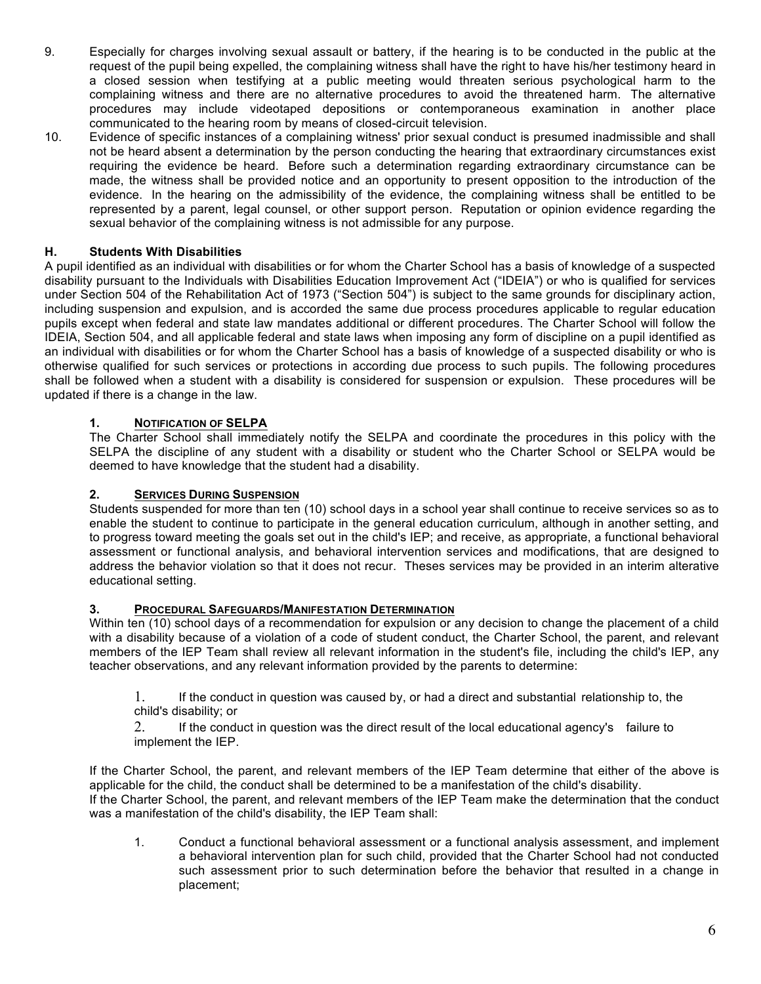- 9. Especially for charges involving sexual assault or battery, if the hearing is to be conducted in the public at the request of the pupil being expelled, the complaining witness shall have the right to have his/her testimony heard in a closed session when testifying at a public meeting would threaten serious psychological harm to the complaining witness and there are no alternative procedures to avoid the threatened harm. The alternative procedures may include videotaped depositions or contemporaneous examination in another place communicated to the hearing room by means of closed-circuit television.
- 10. Evidence of specific instances of a complaining witness' prior sexual conduct is presumed inadmissible and shall not be heard absent a determination by the person conducting the hearing that extraordinary circumstances exist requiring the evidence be heard. Before such a determination regarding extraordinary circumstance can be made, the witness shall be provided notice and an opportunity to present opposition to the introduction of the evidence. In the hearing on the admissibility of the evidence, the complaining witness shall be entitled to be represented by a parent, legal counsel, or other support person. Reputation or opinion evidence regarding the sexual behavior of the complaining witness is not admissible for any purpose.

# **H. Students With Disabilities**

A pupil identified as an individual with disabilities or for whom the Charter School has a basis of knowledge of a suspected disability pursuant to the Individuals with Disabilities Education Improvement Act ("IDEIA") or who is qualified for services under Section 504 of the Rehabilitation Act of 1973 ("Section 504") is subject to the same grounds for disciplinary action, including suspension and expulsion, and is accorded the same due process procedures applicable to regular education pupils except when federal and state law mandates additional or different procedures. The Charter School will follow the IDEIA, Section 504, and all applicable federal and state laws when imposing any form of discipline on a pupil identified as an individual with disabilities or for whom the Charter School has a basis of knowledge of a suspected disability or who is otherwise qualified for such services or protections in according due process to such pupils. The following procedures shall be followed when a student with a disability is considered for suspension or expulsion. These procedures will be updated if there is a change in the law.

## **1. NOTIFICATION OF SELPA**

The Charter School shall immediately notify the SELPA and coordinate the procedures in this policy with the SELPA the discipline of any student with a disability or student who the Charter School or SELPA would be deemed to have knowledge that the student had a disability.

## **2. SERVICES DURING SUSPENSION**

Students suspended for more than ten (10) school days in a school year shall continue to receive services so as to enable the student to continue to participate in the general education curriculum, although in another setting, and to progress toward meeting the goals set out in the child's IEP; and receive, as appropriate, a functional behavioral assessment or functional analysis, and behavioral intervention services and modifications, that are designed to address the behavior violation so that it does not recur. Theses services may be provided in an interim alterative educational setting.

## **3. PROCEDURAL SAFEGUARDS/MANIFESTATION DETERMINATION**

Within ten (10) school days of a recommendation for expulsion or any decision to change the placement of a child with a disability because of a violation of a code of student conduct, the Charter School, the parent, and relevant members of the IEP Team shall review all relevant information in the student's file, including the child's IEP, any teacher observations, and any relevant information provided by the parents to determine:

1. If the conduct in question was caused by, or had a direct and substantial relationship to, the child's disability; or

2. If the conduct in question was the direct result of the local educational agency's failure to implement the IEP.

If the Charter School, the parent, and relevant members of the IEP Team determine that either of the above is applicable for the child, the conduct shall be determined to be a manifestation of the child's disability. If the Charter School, the parent, and relevant members of the IEP Team make the determination that the conduct was a manifestation of the child's disability, the IEP Team shall:

1. Conduct a functional behavioral assessment or a functional analysis assessment, and implement a behavioral intervention plan for such child, provided that the Charter School had not conducted such assessment prior to such determination before the behavior that resulted in a change in placement;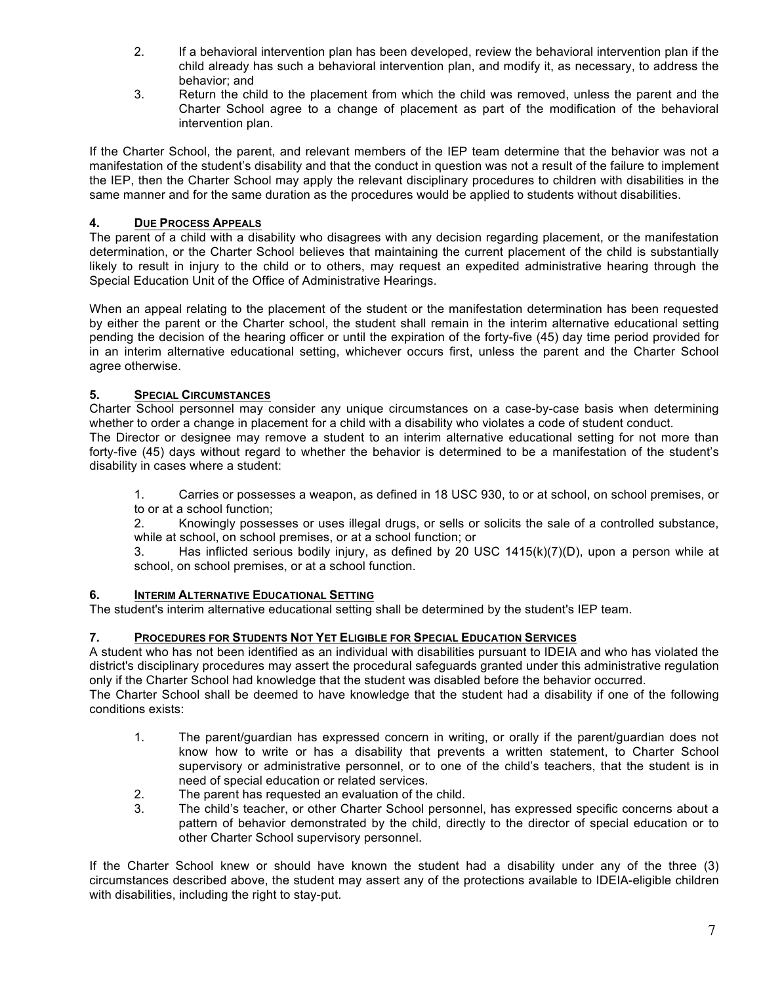- 2. If a behavioral intervention plan has been developed, review the behavioral intervention plan if the child already has such a behavioral intervention plan, and modify it, as necessary, to address the behavior; and
- 3. Return the child to the placement from which the child was removed, unless the parent and the Charter School agree to a change of placement as part of the modification of the behavioral intervention plan.

If the Charter School, the parent, and relevant members of the IEP team determine that the behavior was not a manifestation of the student's disability and that the conduct in question was not a result of the failure to implement the IEP, then the Charter School may apply the relevant disciplinary procedures to children with disabilities in the same manner and for the same duration as the procedures would be applied to students without disabilities.

## **4. DUE PROCESS APPEALS**

The parent of a child with a disability who disagrees with any decision regarding placement, or the manifestation determination, or the Charter School believes that maintaining the current placement of the child is substantially likely to result in injury to the child or to others, may request an expedited administrative hearing through the Special Education Unit of the Office of Administrative Hearings.

When an appeal relating to the placement of the student or the manifestation determination has been requested by either the parent or the Charter school, the student shall remain in the interim alternative educational setting pending the decision of the hearing officer or until the expiration of the forty-five (45) day time period provided for in an interim alternative educational setting, whichever occurs first, unless the parent and the Charter School agree otherwise.

## **5. SPECIAL CIRCUMSTANCES**

Charter School personnel may consider any unique circumstances on a case-by-case basis when determining whether to order a change in placement for a child with a disability who violates a code of student conduct.

The Director or designee may remove a student to an interim alternative educational setting for not more than forty-five (45) days without regard to whether the behavior is determined to be a manifestation of the student's disability in cases where a student:

1. Carries or possesses a weapon, as defined in 18 USC 930, to or at school, on school premises, or to or at a school function;

2. Knowingly possesses or uses illegal drugs, or sells or solicits the sale of a controlled substance, while at school, on school premises, or at a school function; or

3. Has inflicted serious bodily injury, as defined by 20 USC 1415(k)(7)(D), upon a person while at school, on school premises, or at a school function.

## **6. INTERIM ALTERNATIVE EDUCATIONAL SETTING**

The student's interim alternative educational setting shall be determined by the student's IEP team.

## **7. PROCEDURES FOR STUDENTS NOT YET ELIGIBLE FOR SPECIAL EDUCATION SERVICES**

A student who has not been identified as an individual with disabilities pursuant to IDEIA and who has violated the district's disciplinary procedures may assert the procedural safeguards granted under this administrative regulation only if the Charter School had knowledge that the student was disabled before the behavior occurred.

The Charter School shall be deemed to have knowledge that the student had a disability if one of the following conditions exists:

- 1. The parent/guardian has expressed concern in writing, or orally if the parent/guardian does not know how to write or has a disability that prevents a written statement, to Charter School supervisory or administrative personnel, or to one of the child's teachers, that the student is in need of special education or related services.
- 2. The parent has requested an evaluation of the child.
- 3. The child's teacher, or other Charter School personnel, has expressed specific concerns about a pattern of behavior demonstrated by the child, directly to the director of special education or to other Charter School supervisory personnel.

If the Charter School knew or should have known the student had a disability under any of the three (3) circumstances described above, the student may assert any of the protections available to IDEIA-eligible children with disabilities, including the right to stay-put.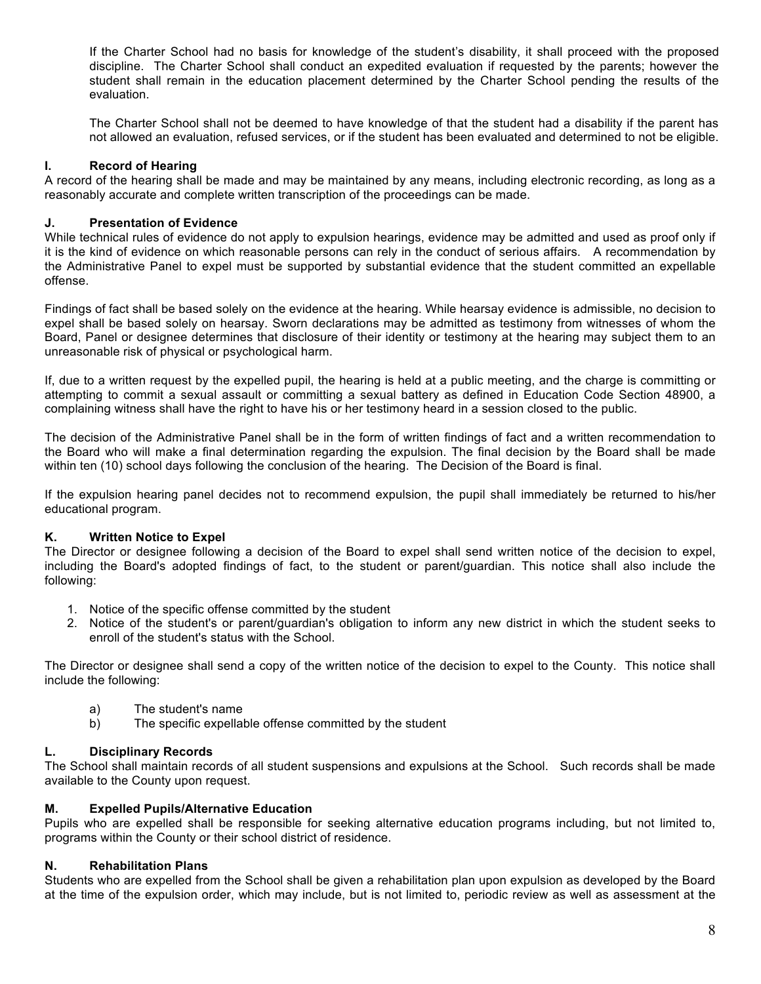If the Charter School had no basis for knowledge of the student's disability, it shall proceed with the proposed discipline. The Charter School shall conduct an expedited evaluation if requested by the parents; however the student shall remain in the education placement determined by the Charter School pending the results of the evaluation.

The Charter School shall not be deemed to have knowledge of that the student had a disability if the parent has not allowed an evaluation, refused services, or if the student has been evaluated and determined to not be eligible.

### **I. Record of Hearing**

A record of the hearing shall be made and may be maintained by any means, including electronic recording, as long as a reasonably accurate and complete written transcription of the proceedings can be made.

### **J. Presentation of Evidence**

While technical rules of evidence do not apply to expulsion hearings, evidence may be admitted and used as proof only if it is the kind of evidence on which reasonable persons can rely in the conduct of serious affairs. A recommendation by the Administrative Panel to expel must be supported by substantial evidence that the student committed an expellable offense.

Findings of fact shall be based solely on the evidence at the hearing. While hearsay evidence is admissible, no decision to expel shall be based solely on hearsay. Sworn declarations may be admitted as testimony from witnesses of whom the Board, Panel or designee determines that disclosure of their identity or testimony at the hearing may subject them to an unreasonable risk of physical or psychological harm.

If, due to a written request by the expelled pupil, the hearing is held at a public meeting, and the charge is committing or attempting to commit a sexual assault or committing a sexual battery as defined in Education Code Section 48900, a complaining witness shall have the right to have his or her testimony heard in a session closed to the public.

The decision of the Administrative Panel shall be in the form of written findings of fact and a written recommendation to the Board who will make a final determination regarding the expulsion. The final decision by the Board shall be made within ten (10) school days following the conclusion of the hearing. The Decision of the Board is final.

If the expulsion hearing panel decides not to recommend expulsion, the pupil shall immediately be returned to his/her educational program.

### **K. Written Notice to Expel**

The Director or designee following a decision of the Board to expel shall send written notice of the decision to expel, including the Board's adopted findings of fact, to the student or parent/guardian. This notice shall also include the following:

- 1. Notice of the specific offense committed by the student
- 2. Notice of the student's or parent/guardian's obligation to inform any new district in which the student seeks to enroll of the student's status with the School.

The Director or designee shall send a copy of the written notice of the decision to expel to the County. This notice shall include the following:

- a) The student's name
- b) The specific expellable offense committed by the student

### **L. Disciplinary Records**

The School shall maintain records of all student suspensions and expulsions at the School. Such records shall be made available to the County upon request.

### **M. Expelled Pupils/Alternative Education**

Pupils who are expelled shall be responsible for seeking alternative education programs including, but not limited to, programs within the County or their school district of residence.

### **N. Rehabilitation Plans**

Students who are expelled from the School shall be given a rehabilitation plan upon expulsion as developed by the Board at the time of the expulsion order, which may include, but is not limited to, periodic review as well as assessment at the